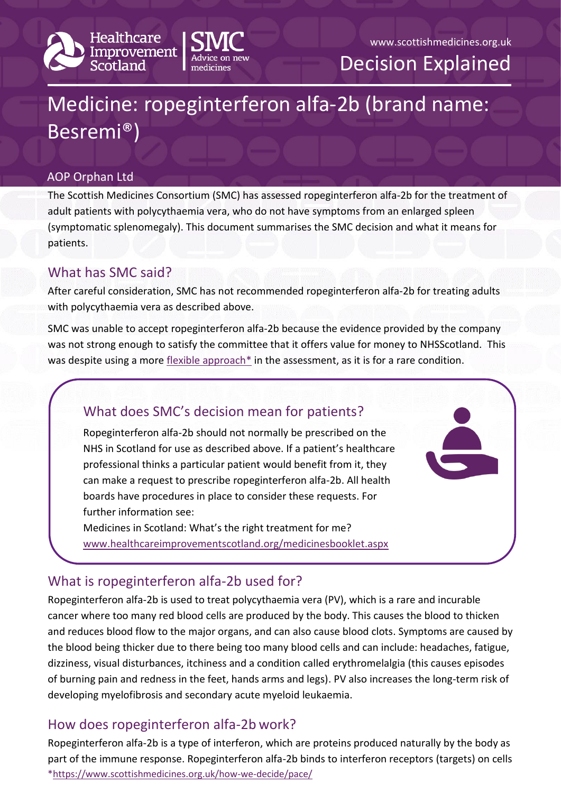



Decision Explained

# Medicine: ropeginterferon alfa-2b (brand name: Besremi®)

#### AOP Orphan Ltd

The Scottish Medicines Consortium (SMC) has assessed ropeginterferon alfa-2b for the treatment of adult patients with polycythaemia vera, who do not have symptoms from an enlarged spleen (symptomatic splenomegaly). This document summarises the SMC decision and what it means for patients.

#### What has SMC said?

After careful consideration, SMC has not recommended ropeginterferon alfa-2b for treating adults with polycythaemia vera as described above.

SMC was unable to accept ropeginterferon alfa-2b because the evidence provided by the company was not strong enough to satisfy the committee that it offers value for money to NHSScotland. This was despite using a more [flexible approach\\*](https://www.scottishmedicines.org.uk/how-we-decide/pace/) in the assessment, as it is for a rare condition.

## What does SMC's decision mean for patients?

Ropeginterferon alfa-2b should not normally be prescribed on the NHS in Scotland for use as described above. If a patient's healthcare professional thinks a particular patient would benefit from it, they can make a request to prescribe ropeginterferon alfa-2b. All health boards have procedures in place to consider these requests. For further information see:

Medicines in Scotland: What's the right treatment for me? [www.healthcareimprovementscotland.org/medicinesbooklet.aspx](http://www.healthcareimprovementscotland.org/our_work/technologies_and_medicines/adtc_resources/medicines_booklet.aspx)

## What is ropeginterferon alfa-2b used for?

Ropeginterferon alfa-2b is used to treat polycythaemia vera (PV), which is a rare and incurable cancer where too many red blood cells are produced by the body. This causes the blood to thicken and reduces blood flow to the major organs, and can also cause blood clots. Symptoms are caused by the blood being thicker due to there being too many blood cells and can include: headaches, fatigue, dizziness, visual disturbances, itchiness and a condition called erythromelalgia (this causes episodes of burning pain and redness in the feet, hands arms and legs). PV also increases the long-term risk of developing myelofibrosis and secondary acute myeloid leukaemia.

#### How does ropeginterferon alfa-2b work?

[\\*https://www.scottishmedicines.org.uk/how-we-decide/pace/](https://www.scottishmedicines.org.uk/how-we-decide/pace/) Ropeginterferon alfa-2b is a type of interferon, which are proteins produced naturally by the body as part of the immune response. Ropeginterferon alfa-2b binds to interferon receptors (targets) on cells